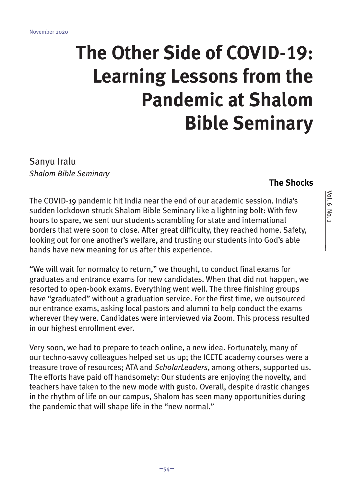# **The Other Side of COVID-19: Learning Lessons from the Pandemic at Shalom Bible Seminary**

Sanyu Iralu *Shalom Bible Seminary*

## **The Shocks**

The COVID-19 pandemic hit India near the end of our academic session. India's sudden lockdown struck Shalom Bible Seminary like a lightning bolt: With few hours to spare, we sent our students scrambling for state and international borders that were soon to close. After great difficulty, they reached home. Safety, looking out for one another's welfare, and trusting our students into God's able hands have new meaning for us after this experience.

"We will wait for normalcy to return," we thought, to conduct final exams for graduates and entrance exams for new candidates. When that did not happen, we resorted to open-book exams. Everything went well. The three finishing groups have "graduated" without a graduation service. For the first time, we outsourced our entrance exams, asking local pastors and alumni to help conduct the exams wherever they were. Candidates were interviewed via Zoom. This process resulted in our highest enrollment ever.

Very soon, we had to prepare to teach online, a new idea. Fortunately, many of our techno-savvy colleagues helped set us up; the ICETE academy courses were a treasure trove of resources; ATA and *ScholarLeaders*, among others, supported us. The efforts have paid off handsomely: Our students are enjoying the novelty, and teachers have taken to the new mode with gusto. Overall, despite drastic changes in the rhythm of life on our campus, Shalom has seen many opportunities during the pandemic that will shape life in the "new normal."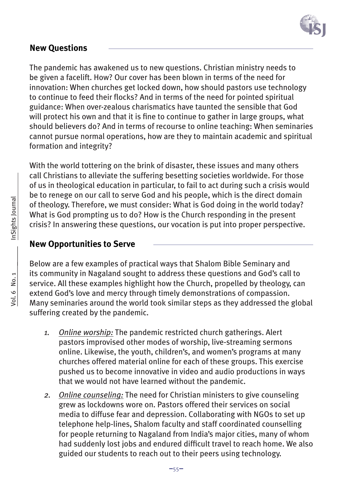

## **New Questions**

The pandemic has awakened us to new questions. Christian ministry needs to be given a facelift. How? Our cover has been blown in terms of the need for innovation: When churches get locked down, how should pastors use technology to continue to feed their flocks? And in terms of the need for pointed spiritual guidance: When over-zealous charismatics have taunted the sensible that God will protect his own and that it is fine to continue to gather in large groups, what should believers do? And in terms of recourse to online teaching: When seminaries cannot pursue normal operations, how are they to maintain academic and spiritual formation and integrity?

With the world tottering on the brink of disaster, these issues and many others call Christians to alleviate the suffering besetting societies worldwide. For those of us in theological education in particular, to fail to act during such a crisis would be to renege on our call to serve God and his people, which is the direct domain of theology. Therefore, we must consider: What is God doing in the world today? What is God prompting us to do? How is the Church responding in the present crisis? In answering these questions, our vocation is put into proper perspective.

#### **New Opportunities to Serve**

Below are a few examples of practical ways that Shalom Bible Seminary and its community in Nagaland sought to address these questions and God's call to service. All these examples highlight how the Church, propelled by theology, can extend God's love and mercy through timely demonstrations of compassion. Many seminaries around the world took similar steps as they addressed the global suffering created by the pandemic.

- *1. Online worship:* The pandemic restricted church gatherings. Alert pastors improvised other modes of worship, live-streaming sermons online. Likewise, the youth, children's, and women's programs at many churches offered material online for each of these groups. This exercise pushed us to become innovative in video and audio productions in ways that we would not have learned without the pandemic.
- *2. Online counseling:* The need for Christian ministers to give counseling grew as lockdowns wore on. Pastors offered their services on social media to diffuse fear and depression. Collaborating with NGOs to set up telephone help-lines, Shalom faculty and staff coordinated counselling for people returning to Nagaland from India's major cities, many of whom had suddenly lost jobs and endured difficult travel to reach home. We also guided our students to reach out to their peers using technology.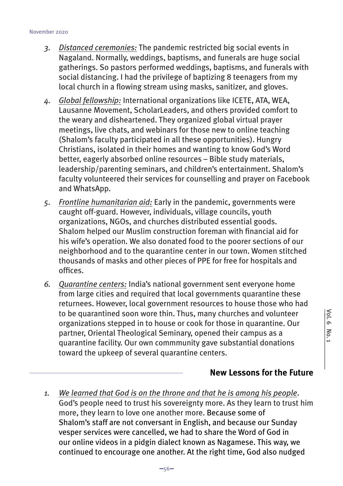- *3. Distanced ceremonies:* The pandemic restricted big social events in Nagaland. Normally, weddings, baptisms, and funerals are huge social gatherings. So pastors performed weddings, baptisms, and funerals with social distancing. I had the privilege of baptizing 8 teenagers from my local church in a flowing stream using masks, sanitizer, and gloves.
- *4. Global fellowship:* International organizations like ICETE, ATA, WEA, Lausanne Movement, ScholarLeaders, and others provided comfort to the weary and disheartened. They organized global virtual prayer meetings, live chats, and webinars for those new to online teaching (Shalom's faculty participated in all these opportunities). Hungry Christians, isolated in their homes and wanting to know God's Word better, eagerly absorbed online resources – Bible study materials, leadership/parenting seminars, and children's entertainment. Shalom's faculty volunteered their services for counselling and prayer on Facebook and WhatsApp.
- *5. Frontline humanitarian aid:* Early in the pandemic, governments were caught off-guard. However, individuals, village councils, youth organizations, NGOs, and churches distributed essential goods. Shalom helped our Muslim construction foreman with financial aid for his wife's operation. We also donated food to the poorer sections of our neighborhood and to the quarantine center in our town. Women stitched thousands of masks and other pieces of PPE for free for hospitals and offices.
- *6. Quarantine centers:* India's national government sent everyone home from large cities and required that local governments quarantine these returnees. However, local government resources to house those who had to be quarantined soon wore thin. Thus, many churches and volunteer organizations stepped in to house or cook for those in quarantine. Our partner, Oriental Theological Seminary, opened their campus as a quarantine facility. Our own commmunity gave substantial donations toward the upkeep of several quarantine centers.

## **New Lessons for the Future**

*1. We learned that God is on the throne and that he is among his people*. God's people need to trust his sovereignty more. As they learn to trust him more, they learn to love one another more. Because some of Shalom's staff are not conversant in English, and because our Sunday vesper services were cancelled, we had to share the Word of God in our online videos in a pidgin dialect known as Nagamese. This way, we continued to encourage one another. At the right time, God also nudged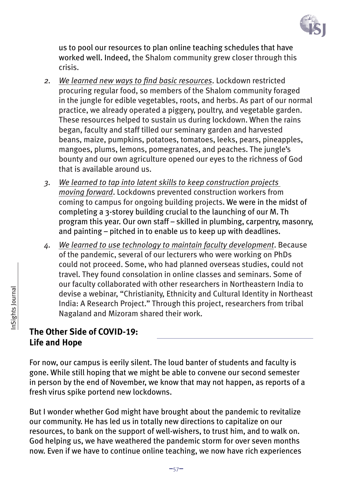

us to pool our resources to plan online teaching schedules that have worked well. Indeed, the Shalom community grew closer through this crisis.

- *2. We learned new ways to find basic resources*. Lockdown restricted procuring regular food, so members of the Shalom community foraged in the jungle for edible vegetables, roots, and herbs. As part of our normal practice, we already operated a piggery, poultry, and vegetable garden. These resources helped to sustain us during lockdown. When the rains began, faculty and staff tilled our seminary garden and harvested beans, maize, pumpkins, potatoes, tomatoes, leeks, pears, pineapples, mangoes, plums, lemons, pomegranates, and peaches. The jungle's bounty and our own agriculture opened our eyes to the richness of God that is available around us.
- *3. We learned to tap into latent skills to keep construction projects moving forward*. Lockdowns prevented construction workers from coming to campus for ongoing building projects. We were in the midst of completing a 3-storey building crucial to the launching of our M. Th program this year. Our own staff – skilled in plumbing, carpentry, masonry, and painting – pitched in to enable us to keep up with deadlines.
- *4. We learned to use technology to maintain faculty development*. Because of the pandemic, several of our lecturers who were working on PhDs could not proceed. Some, who had planned overseas studies, could not travel. They found consolation in online classes and seminars. Some of our faculty collaborated with other researchers in Northeastern India to devise a webinar, "Christianity, Ethnicity and Cultural Identity in Northeast India: A Research Project." Through this project, researchers from tribal Nagaland and Mizoram shared their work.

# **The Other Side of COVID-19: Life and Hope**

For now, our campus is eerily silent. The loud banter of students and faculty is gone. While still hoping that we might be able to convene our second semester in person by the end of November, we know that may not happen, as reports of a fresh virus spike portend new lockdowns.

But I wonder whether God might have brought about the pandemic to revitalize our community. He has led us in totally new directions to capitalize on our resources, to bank on the support of well-wishers, to trust him, and to walk on. God helping us, we have weathered the pandemic storm for over seven months now. Even if we have to continue online teaching, we now have rich experiences